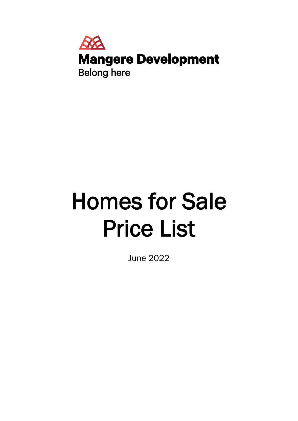

# Homes for Sale Price List

June 2022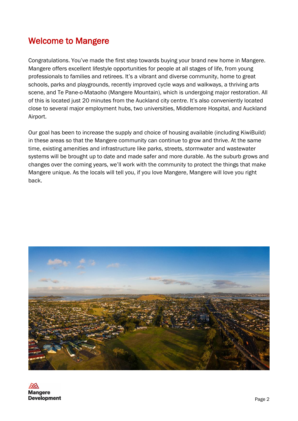#### Welcome to Mangere

Congratulations. You've made the first step towards buying your brand new home in Mangere. Mangere offers excellent lifestyle opportunities for people at all stages of life, from young professionals to families and retirees. It's a vibrant and diverse community, home to great schools, parks and playgrounds, recently improved cycle ways and walkways, a thriving arts scene, and Te Pane-o-Mataoho (Mangere Mountain), which is undergoing major restoration. All of this is located just 20 minutes from the Auckland city centre. It's also conveniently located close to several major employment hubs, two universities, Middlemore Hospital, and Auckland Airport.

Our goal has been to increase the supply and choice of housing available (including KiwiBuild) in these areas so that the Mangere community can continue to grow and thrive. At the same time, existing amenities and infrastructure like parks, streets, stormwater and wastewater systems will be brought up to date and made safer and more durable. As the suburb grows and changes over the coming years, we'll work with the community to protect the things that make Mangere unique. As the locals will tell you, if you love Mangere, Mangere will love you right back.



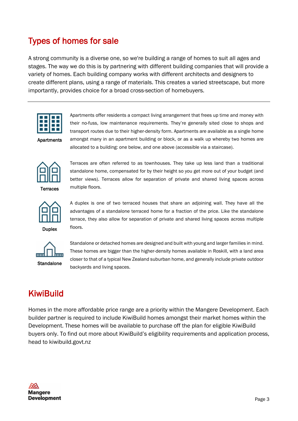## Types of homes for sale

A strong community is a diverse one, so we're building a range of homes to suit all ages and stages. The way we do this is by partnering with different building companies that will provide a variety of homes. Each building company works with different architects and designers to create different plans, using a range of materials. This creates a varied streetscape, but more importantly, provides choice for a broad cross-section of homebuyers.



Apartments

Apartments offer residents a compact living arrangement that frees up time and money with their no-fuss, low maintenance requirements. They're generally sited close to shops and transport routes due to their higher-density form. Apartments are available as a single home amongst many in an apartment building or block, or as a walk up whereby two homes are allocated to a building: one below, and one above (accessible via a staircase).



Terraces are often referred to as townhouses. They take up less land than a traditional standalone home, compensated for by their height so you get more out of your budget (and better views). Terraces allow for separation of private and shared living spaces across multiple floors.



A duplex is one of two terraced houses that share an adjoining wall. They have all the advantages of a standalone terraced home for a fraction of the price. Like the standalone terrace, they also allow for separation of private and shared living spaces across multiple floors.



Standalone or detached homes are designed and built with young and larger families in mind. These homes are bigger than the higher-density homes available in Roskill, with a land area closer to that of a typical New Zealand suburban home, and generally include private outdoor backyards and living spaces.

## **KiwiBuild**

Homes in the more affordable price range are a priority within the Mangere Development. Each builder partner is required to include KiwiBuild homes amongst their market homes within the Development. These homes will be available to purchase off the plan for eligible KiwiBuild buyers only. To find out more about KiwiBuild's eligibility requirements and application process, head to kiwibuild.govt.nz

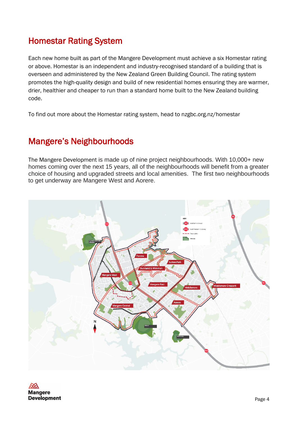#### Homestar Rating System

Each new home built as part of the Mangere Development must achieve a six Homestar rating or above. Homestar is an independent and industry-recognised standard of a building that is overseen and administered by the New Zealand Green Building Council. The rating system promotes the high-quality design and build of new residential homes ensuring they are warmer, drier, healthier and cheaper to run than a standard home built to the New Zealand building code.

To find out more about the Homestar rating system, head to nzgbc.org.nz/homestar

#### Mangere's Neighbourhoods

The Mangere Development is made up of nine project neighbourhoods. With 10,000+ new homes coming over the next 15 years, all of the neighbourhoods will benefit from a greater choice of housing and upgraded streets and local amenities. The first two neighbourhoods to get underway are Mangere West and Aorere.



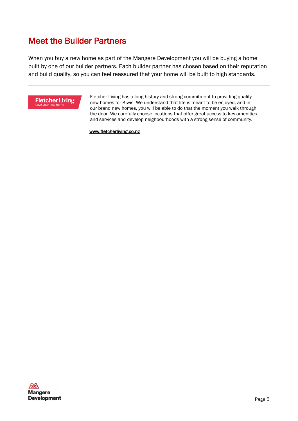#### Meet the Builder Partners

When you buy a new home as part of the Mangere Development you will be buying a home built by one of our builder partners. Each builder partner has chosen based on their reputation and build quality, so you can feel reassured that your home will be built to high standards.



 Fletcher Living has a long history and strong commitment to providing quality new homes for Kiwis. We understand that life is meant to be enjoyed, and in our brand new homes, you will be able to do that the moment you walk through the door. We carefully choose locations that offer great access to key amenities and services and develop neighbourhoods with a strong sense of community.

www.fletcherliving.co.nz